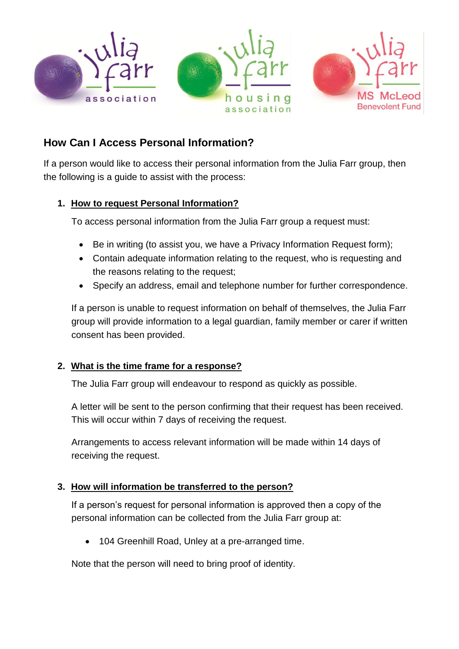

# **How Can I Access Personal Information?**

If a person would like to access their personal information from the Julia Farr group, then the following is a guide to assist with the process:

## **1. How to request Personal Information?**

To access personal information from the Julia Farr group a request must:

- Be in writing (to assist you, we have a Privacy Information Request form);
- Contain adequate information relating to the request, who is requesting and the reasons relating to the request;
- Specify an address, email and telephone number for further correspondence.

If a person is unable to request information on behalf of themselves, the Julia Farr group will provide information to a legal guardian, family member or carer if written consent has been provided.

## **2. What is the time frame for a response?**

The Julia Farr group will endeavour to respond as quickly as possible.

A letter will be sent to the person confirming that their request has been received. This will occur within 7 days of receiving the request.

Arrangements to access relevant information will be made within 14 days of receiving the request.

## **3. How will information be transferred to the person?**

If a person's request for personal information is approved then a copy of the personal information can be collected from the Julia Farr group at:

104 Greenhill Road, Unley at a pre-arranged time.

Note that the person will need to bring proof of identity.